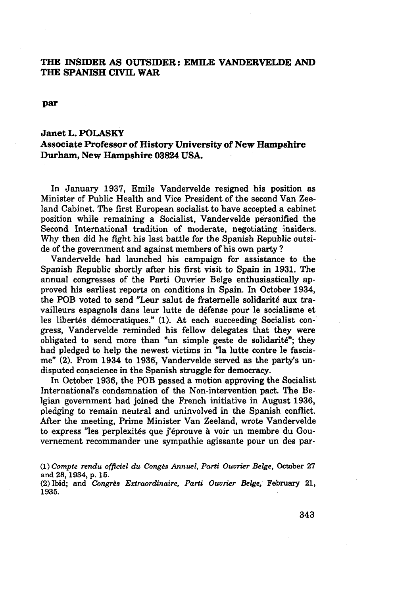## THE INSIDER AS OUTSIDER: EMILE VANDERVELDE AND THE SPANISH CIVIL WAR

**par**

## Janet L.POLASKY

## Associate **Professor of** History University **of New Hampshire Durham,** New Hampshire **03824** USA.

In January 1937, Emile Vandervelde resigned his position as Minister **of** Public Health and Vice President **of** the second Van Zeeland Cabinet. The first European socialist **to** have accepted a cabinet position while remaining a Socialist, Vandervelde personified the Second International tradition of moderate, negotiating insiders. Why then did he fight his last battle for the Spanish Republic outside of the government and against members of his own party **?**

Vandervelde had launched his campaign for assistance to the Spanish Republic shortly after his first visit **to** Spain in 1931. The annual congresses of the Parti Ouvrier Belge enthusiastically approved his earliest reports on conditions in Spain. In October 1934, the POB voted to send "Leur salut de fraternelle solidarité aux travailleurs espagnols dans leur lutte **de** défense pour le socialisme et **les** libertés démocratiques." (1). At each succeeding Socialist congress, Vandervelde reminded his fellow delegates that they were obligated to send more than "un simple geste **de** solidarité"; they had pledged **to** help the newest victims in "la lutte contre le fascisme" (2). From 1934 to 1936, Vandervelde served as the party's undisputed conscience in the Spanish struggle for democracy.

In October 1936, the POB passed a motion approving the Socialist International's condemnation of the Non-intervention pact. The Belgian government had joined the French initiative in August 1936, pledging to remain neutral and uninvolved in the Spanish conflict. After the meeting, Prime Minister Van Zeeland, wrote Vandervelde to express "les perplexités que j'éprouve **à** voir un membre du Gouvernement recommander une sympathie agissante pour un **des** par-

ti) *Compte rendu officiel du Congés Annuel, Parti Ouvrier Belge,* October 27 and 28,1934, p. 15.

(2) Ibid; and *Congrès Extraordinaire, Parti Ouvrier Belge,* February 21, 1935.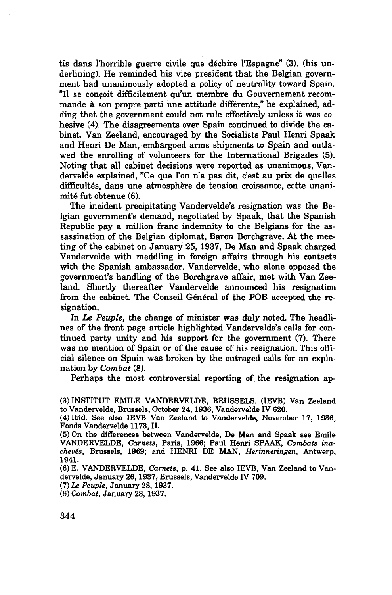tis dans l'horrible guerre civile que déchire l'Espagne" (3). (his underlining). He reminded his vice president that the Belgian government had unanimously adopted a policy of neutrality toward Spain. "Il se conçoit difficilement qu'un membre du Gouvernement recommande à son propre parti une attitude différente," he explained, adding that the government could not rule effectively unless it was cohesive (4). The disagreements over Spain continued to divide the cabinet. Van Zeeland, encouraged by the Socialists Paul Henri Spaak and Henri De Man, embargoed arms shipments to Spain and outlawed the enrolling of volunteers for the International Brigades (5). Noting that all cabinet decisions were reported as unanimous, Vandervelde explained, "Ce que l'on n'a pas dit, c'est au prix de quelles difficultés, dans une atmosphère de tension croissante, cette unanimité fut obtenue (6).

The incident precipitating Vandervelde's resignation was the Belgian government's demand, negotiated by Spaak, that the Spanish Republic pay a million franc indemnity to the Belgians for the assassination of the Belgian diplomat, Baron Borchgrave. At the meeting of the cabinet on January 25, 1937, De Man and Spaak charged Vandervelde with meddling in foreign affairs through his contacts with the Spanish ambassador. Vandervelde, who alone opposed the government's handling of the Borchgrave affair, met with Van Zeeland. Shortly thereafter Vandervelde announced his resignation from the cabinet. The Conseil Général of the POB accepted the resignation.

In *Le Peuple,* the change of minister was duly noted. The headlines of the front page article highlighted Vandervelde's calls for continued party unity and his support for the government (7). There was no mention of Spain or of the cause of his resignation. This official silence on Spain was broken by the outraged calls for an explanation by *Combat* (8).

Perhaps the most controversial reporting of the resignation ap-

<sup>(3)</sup> INSTITUT EMILE VANDERVELDE, BRUSSELS. (IEVB) Van Zeeland to Vandervelde, Brussels, October 24,1936, Vandervelde IV 620.

<sup>(4)</sup> Ibid. See also IEVB Van Zeeland to Vandervelde, November 17, 1936, Fonds Vandervelde 1173, II.

<sup>(5)</sup> On the differences between Vandervelde, De Man and Spaak see Emile VANDERVELDE, *Carnets,* Paris, 1966; Paul Henri SPAAK, *Combats inachevés,* Brussels, 1969; and HENRI DE MAN, *Herinneringen,* Antwerp, 1941.

<sup>(6)</sup> E. VANDERVELDE, *Carnets,* p. 41. See also IEVB, Van Zeeland to Vandervelde, January 26,1937, Brussels, Vandervelde IV 709.

<sup>(7)</sup> *Le Peuple,* January 28,1937.

<sup>(8)</sup> *Combat,* January 28,1937.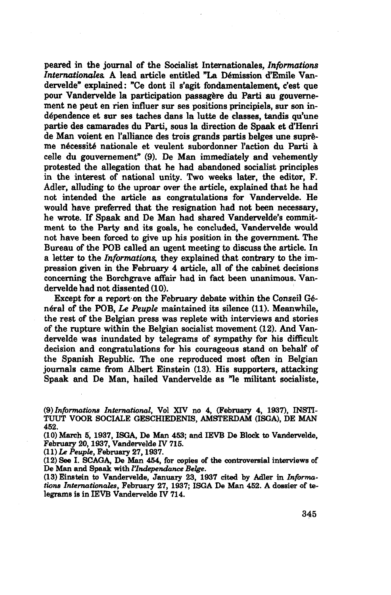peared in the journal of the Socialist Internationales, *Informations Internationales.* A lead article entitled "La Démission d'Emile Vandervelde" explained: "Ce dont il s'agit fondamentalement, c'est que pour Vandervelde la participation passagère du Parti au gouvernement ne peut en rien influer sur ses positions principiels, sur son independence et sur ses taches dans la lutte de classes, tandis qu'une partie des camarades du Parti, sous la direction de Spaak et d'Henri de Man voient en l'alliance des trois grands partis belges une suprême nécessité nationale et veulent subordonner l'action du Parti à celle du gouvernement" (9). De Man immediately and vehemently protested the allegation that he had abandoned socialist principles in the interest of national unity. Two weeks later, the editor, F. Adler, alluding to the uproar over the article, explained that he had not intended the article as congratulations for Vandervelde. He would have preferred that the resignation had not been necessary, he wrote. If Spaak and De Man had shared Vandervelde's commitment to the Party and its goals, he concluded, Vandervelde would not have been forced to give up his position in the government. The Bureau of the POB called an ugent meeting to discuss the article. In a letter to the *Informations,* they explained that contrary to the impression given in the February 4 article, all of the cabinet decisions concerning the Borchgrave affair had in fact been unanimous. Vandervelde had not dissented (10).

Except for a report'on the February debate within the Conseil Général of the POB, *Le Peuple* maintained its silence (11). Meanwhile, the rest of the Belgian press was replete with interviews and stories of the rupture within the Belgian socialist movement (12). And Vandervelde was inundated by telegrams of sympathy for his difficult decision and congratulations for his courageous stand on behalf of the Spanish Republic. The one reproduced most often in Belgian journals came from Albert Einstein (13). His supporters, attacking Spaak and De Man, hailed Vandervelde as "le militant socialiste,

(9) *Informations International,* Vol XTV no 4, (February 4, 1937), INSTI-TUUT VOOR SOCIALE GESCHIEDENIS, AMSTERDAM (ISGA), DE MAN 452.

(10) March 5, 1937, ISGA, De Man 453; and IEVB De Block to Vandervelde, February 20,1937, Vandervelde IV 715.

(11) **Le** *Peuple,* February 27,1937.

(12) See I. SCAGA, De Man 454, for copies of the controversial interviews of De Man and Spaak with *l'Indépendance Belge.*

(13) Einstein to Vandervelde, January **23,** 1937 cited by Adler in *Informations Internationales,* February 27, 1937; ISGA De Man 452. **A** dossier of telegrams is in IEVB Vandervelde IV 714.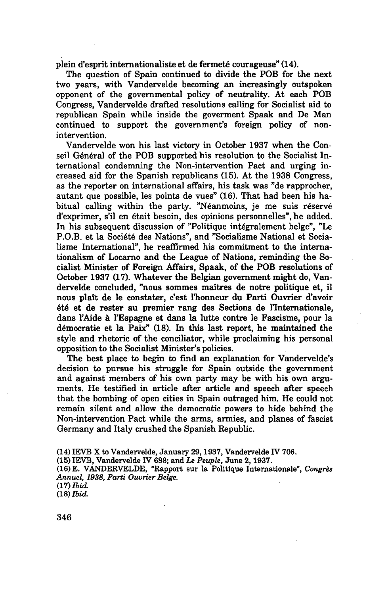plein d'esprit internationaliste et de fermeté courageuse" (14).

The question of Spain continued to divide the POB for the next two years, with Vandervelde becoming an increasingly outspoken opponent of the governmental policy of neutrality. At each POB Congress, Vandervelde drafted resolutions calling for Socialist aid to republican Spain while inside the goverment Spaak and De Man continued to support the government's foreign policy of nonintervention.

Vandervelde won his last victory in October 1937 when the Conseil Général of the POB supported his resolution to the Socialist International condemning the Non-intervention Pact and urging increased aid for the Spanish republicans (15). At the 1938 Congress, as the reporter on international affairs, his task was "de rapprocher, autant que possible, les points de vues" (16). That had been his habitual calling within the party. "Néanmoins, je me suis réservé d'exprimer, s'il en était besoin, des opinions personnelles", he added. In his subsequent discussion of "Politique intégralement belge", "Le P.O.B, et la Société des Nations", and "Socialisme National et Socialisme International", he reaffirmed his commitment to the internationalism of Locarno and the League of Nations, reminding the Socialist Minister of Foreign Affairs, Spaak, of the POB resolutions of October 1937 (17). Whatever the Belgian government might do, Vandervelde concluded, "nous sommes maîtres de notre politique et, il nous plaît de le constater, c'est l'honneur du Parti Ouvrier d'avoir été et de rester au premier rang des Sections de l'Internationale, dans l'Aide à l'Espagne et dans la lutte contre le Fascisme, pour la démocratie et la Paix" (18). In this last report, he maintained the style and rhetoric of the conciliator, while proclaiming his personal opposition to the Socialist Minister's policies.

The best place to begin to find an explanation for Vandervelde's decision to pursue his struggle for Spain outside the government and against members of his own party may be with his own arguments. He testified in article after article and speech after speech that the bombing of open cities in Spain outraged him. He could not remain silent and allow the democratic powers to hide behind the Non-intervention Pact while the arms, armies, and planes of fascist Germany and Italy crushed the Spanish Republic.

(14) IEVB X to Vandervelde, January 29,1937, Vandervelde IV 706.

(15) IEVB, Vandervelde IV 688; and *Le Peuple,* June 2,1937.

(16) E. VANDERVELDE, "Rapport sur la Politique Internationale", *Congrès Annuel, 1938, Parti Ouvrier Belge.*

<sup>(17)</sup> *Ibid.* (18) *Ibid.*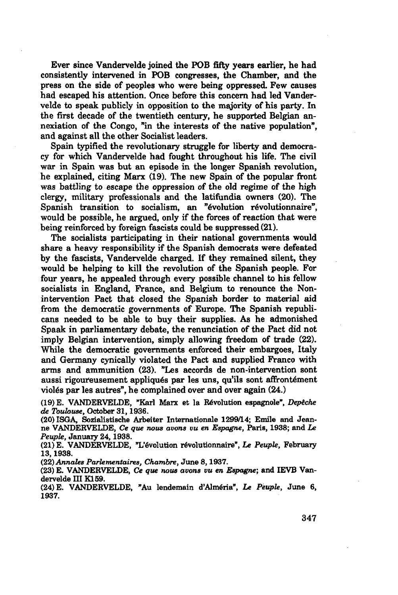Ever since Vandervelde joined the FOB fifty years earlier, he had consistently intervened in FOB congresses, the Chamber, and the press on the side of peoples who were being oppressed. Few causes had escaped his attention. Once before this concern had led Vandervelde to speak publicly in opposition to the majority of his party. In the first decade of the twentieth century, he supported Belgian annexiation of the Congo, "in the interests of the native population", and against all the other Socialist leaders.

Spain typified the revolutionary struggle for liberty and democracy for which Vandervelde had fought throughout his life. The civil war in Spain was but an episode in the longer Spanish revolution, he explained, citing Marx (19). The new Spain of the popular front was battling to escape the oppression of the old regime of the high clergy, military professionals and the latifundia owners (20). The Spanish transition to socialism, an "évolution révolutionnaire", would be possible, he argued, only if the forces of reaction that were being reinforced by foreign fascists could be suppressed (21).

The socialists participating in their national governments would share a heavy responsibility if the Spanish democrats were defeated by the fascists, Vandervelde charged. If they remained silent, they would be helping to kill the revolution of the Spanish people. For four years, he appealed through every possible channel to his fellow socialists in England, France, and Belgium to renounce the Nonintervention Pact that closed the Spanish border to material aid from the democratic governments of Europe. The Spanish republicans needed to be able to buy their supplies. As he admonished Spaak in parliamentary debate, the renunciation of the Pact did not imply Belgian intervention, simply allowing freedom of trade (22). While the democratic governments enforced their embargoes, Italy and Germany cynically violated the Pact and supplied Franco with arms and ammunition (23). "Les accords de non-intervention sont aussi rigoureusement appliqués par les uns, qu'ils sont affrontement violés par les autres", he complained over and over again (24.)

(19) E. VANDERVELDE, "Karl Marx et la Révolution espagnole", *Depêche de Toulouse,* October 31,1936.

(20) ISGA, Sozialistische Arbeiter Internationale 1299/14; Emile and Jeanne VANDERVELDE, *Ce que nous avons vu en Espagne,* Paris, 1938; and Le *Peuple,* January 24,1938.

(21) E. VANDERVELDE, "L'évolution révolutionnaire", *Le Peuple,* February 13,1938.

*(22) Annales Parlementaires, Chambre,* June 8,1937.

(23) E. VANDERVELDE, *Ce que nous avons vu en Espagne-,* and IEVB Vandervelde III Kl 59.

(24) E. VANDERVELDE, "Au lendemain d'Alméria", *Le Peuple,* June 6, 1937.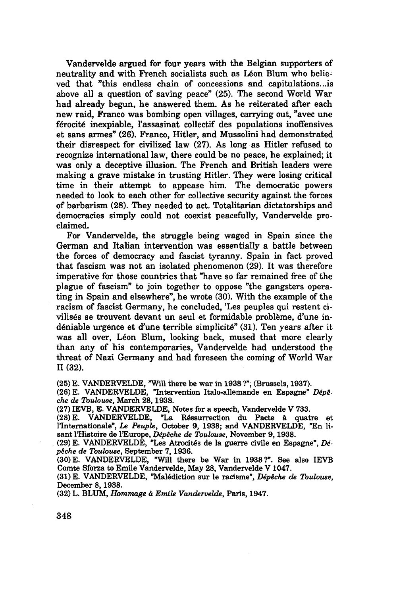Vandervelde argued for four years with the Belgian supporters of neutrality and with French socialists such as Léon Blum who believed that "this endless chain of concessions and capitulations...is above all a question of saving peace" (25). The second World War had already begun, he answered them. As he reiterated after each new raid, Franco was bombing open villages, carrying out, "avec une férocité inexpiable, l'assasinat collectif des populations inoffensives et sans armes" (26). Franco, Hitler, and Mussolini had demonstrated their disrespect for civilized law (27). As long as Hitler refused to recognize international law, there could be no peace, he explained; it was only a deceptive illusion. The French and British leaders were making a grave mistake in trusting Hitler. They were losing critical time in their attempt to appease him. The democratic powers needed to look to each other for collective security against the forces of barbarism (28). They needed to act. Totalitarian dictatorships and democracies simply could not coexist peacefully, Vandervelde proclaimed.

For Vandervelde, the struggle being waged in Spain since the German and Italian intervention was essentially a battle between the forces of democracy and fascist tyranny. Spain in fact proved that fascism was not an isolated phenomenon (29). It was therefore imperative for those countries that "have so far remained free of the plague of fascism" to join together to oppose "the gangsters operating in Spain and elsewhere", he wrote (30). With the example of the racism of fascist Germany, he concluded, 'Les peuples qui restent civilisés se trouvent devant un seul et formidable problème, d'une indéniable urgence et d'une terrible simplicité" (31). Ten years after it was all over, Léon Blum, looking back, mused that more clearly than any of his contemporaries, Vandervelde had understood the threat of Nazi Germany and had foreseen the coming of World War II (32).

(25) E. VANDERVELDE, "Will there be war in 1938 ?", (Brussels, 1937).

(26) E. VANDERVELDE, "Intervention Italo-allemande en Espagne" *Dépêche de Toulouse,* March 28,1938.

(27) IEVB, E. VANDERVELDE, Notes for a speech, Vandervelde V 733.

(28) E. VANDERVELDE, "La Réssurrection du Pacte **à** quatre et l'Internationale", *Le Peuple,* October 9, 1938; and VANDERVELDE, "En lisant l'Histoire de l'Europe, *Dépêche de Toulouse,* November 9,1938.

(29) E. VANDERVELDE, "Les Atrocités de la guerre civile en Espagne", *Dépêche de Toulouse,* September 7,1936.

(30) E. VANDERVELDE, "Will there be War in 1938?". See also IEVB Comte Sforza to Emile Vandervelde, May 28, Vandervelde V 1047.

(31) E. VANDERVELDE, "Malédiction sur le racisme", *Dépêche de Toulouse,* December 8,1938.

(32) L. BLUM, *Hommage à Emile Vandervelde,* Paris, 1947.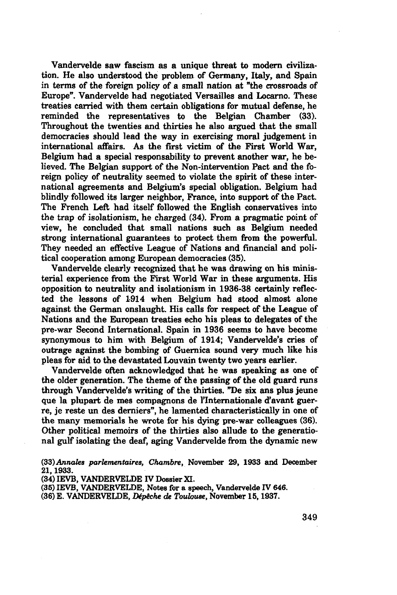Vandervelde saw fascism as a unique threat to modern civilization. He also understood the problem of Germany, Italy, and Spain in terms of the foreign policy of a small nation at "the crossroads of Europe". Vandervelde had negotiated Versailles and Locarno. These treaties carried with them certain obligations for mutual defense, he reminded the representatives to the Belgian Chamber (33). Throughout the twenties and thirties he also argued that the small democracies should lead the way in exercising moral judgement in international affairs. As the first victim of the First World War, Belgium had a special responsability to prevent another war, he believed. The Belgian support of the Non-intervention Pact and the foreign policy of neutrality seemed to violate the spirit of these international agreements and Belgium's special obligation. Belgium had blindly followed its larger neighbor, France, into support of the Pact. The French Left had itself followed the English conservatives into the trap of isolationism, he charged (34). From a pragmatic point of view, he concluded that small nations such as Belgium needed strong international guarantees to protect them from the powerful. They needed an effective League of Nations and financial and political cooperation among European democracies (35).

Vandervelde clearly recognized that he was drawing on his ministerial experience from the First World War in these arguments. His opposition to neutrality and isolationism in 1936-38 certainly reflected the lessons of 1914 when Belgium had stood almost alone against the German onslaught. His calls for respect of the League of Nations and the European treaties echo his pleas to delegates of the pre-war Second international. Spain in 1936 seems to have become synonymous to him with Belgium of 1914; Vandervelde's cries of outrage against the bombing of Guernica sound very much like his pleas for aid to the devastated Louvain twenty two years earlier.

Vandervelde often acknowledged that he was speaking as one of the older generation. The theme of the passing of the old guard runs through Vandervelde's writing of the thirties. "De six ans plus jeune que la plupart de mes compagnons de l'Internationale d'avant guerre, je reste un des derniers", he lamented characteristically in one of the many memorials he wrote for his dying pre-war colleagues (36). Other political memoirs of the thirties also allude to the generational gulf isolating the deaf, aging Vandervelde from the dynamic new

(33) Annales *parlementaires, Chambre,* November 29, 1933 and December 21, 1933.

(34) IEVB, VANDERVELDE IV Dossier XI.

(35) IEVB, VANDERVELDE, Notes for a speech, Vandervelde IV 646.

(36) E. VANDERVELDE, *Dépêche de Toulouse,* November 15,1937.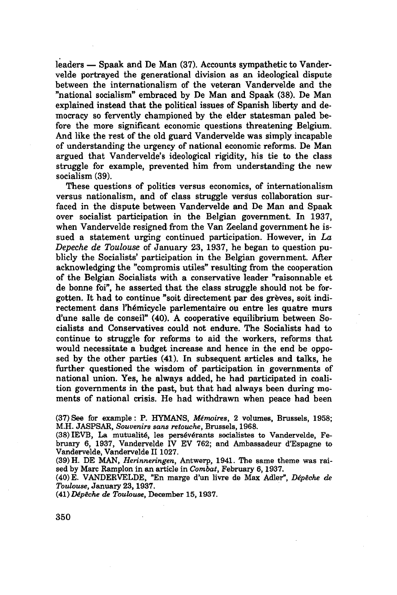leaders — Spaak and De Man (37). Accounts sympathetic to Vandervelde portrayed the generational division as an ideological dispute between the internationalism of the veteran Vandervelde and the "national socialism" embraced by De Man and Spaak (38). De Man explained instead that the political issues of Spanish liberty and democracy so fervently championed by the elder statesman paled before the more significant economic questions threatening Belgium. And like the rest of the old guard Vandervelde was simply incapable of understanding the urgency of national economic reforms. De Man argued that Vandervelde's ideological rigidity, his tie to the class struggle for example, prevented him from understanding the new socialism (39).

These questions of politics versus economics, of internationalism versus nationalism, and of class struggle versus collaboration surfaced in the dispute between Vandervelde and De Man and Spaak over socialist participation in the Belgian government. In 1937, when Vandervelde resigned from the Van Zeeland government he issued a statement urging continued participation. However, in *La Depêche de Toulouse* of January 23, 1937, he began to question publicly the Socialists' participation in the Belgian government. After acknowledging the "compromis utiles" resulting from the cooperation of the Belgian Socialists with a conservative leader "raisonnable et de bonne foi", he asserted that the class struggle should not be forgotten. It had to continue "soit directement par des grèves, soit indirectement dans l'hémicycle parlementaire ou entre les quatre murs d'une salle de conseil" (40). A cooperative equilibrium between Socialists and Conservatives could not endure. The Socialists had to continue to struggle for reforms to aid the workers, reforms that would necessitate a budget increase and hence in the end be opposed by the other parties (41). In subsequent articles and talks, he further questioned the wisdom of participation in governments of national union. Yes, he always added, he had participated in coalition governments in the past, but that had always been during moments of national crisis. He had withdrawn when peace had been

(37) See for example : P. HYMANS, *Mémoires,* 2 volumes, Brussels, 1958; M.H. JASPSAR, *Souvenirs sans retouche,* Brussels, 1968.

(38)IEVB, La mutualité, les persévérants socialistes to Vandervelde, February **6,** 1937, Vandervelde IV EV 762; and Ambassadeur d'Espagne to Vandervelde, Vandervelde II 1027.

(39) H. DE MAN, *Herinneringen,* Antwerp, 1941. The same theme was raised by Marc Ramplon in an article in *Combat,* February 6,1937.

(40) E. VANDERVELDE, "En marge d'un livre de Max Adler", *Dépêche de Toulouse,* January 23,1937.

(41) *Dépêche de Toulouse,* December 15,1937.

350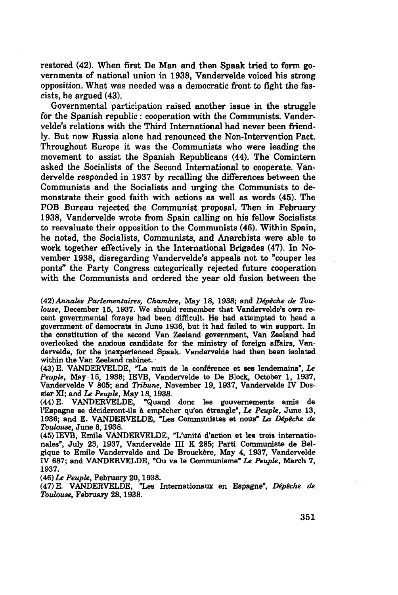restored (42). When first De Man and then Spaak tried to form governments of national union in 1933, Vandervelde voiced his strong opposition. What was needed was a democratic front to fight the fascists, he argued (43).

Governmental participation raised another issue in the struggle for the Spanish republic : cooperation with the Communists. Vandervelde's relations with the Third International had never been friendly. But now Russia alone had renounced the Non-intervention Pact. Throughout Europe it was the Communists who were leading the movement to assist the Spanish Republicans (44). The Comintern asked the Socialists of the Second International to cooperate. Vandervelde responded in 1937 by recalling the differences between the Communists and the Socialists and urging the Communists to demonstrate their good faith with actions as well as words (45). The POB Bureau rejected the Communist proposal. Then in February 1938, Vandervelde wrote from Spain calling on his fellow Socialists to reevaluate their opposition to the Communists (46). Within Spain, he noted, the Socialists, Communists, and Anarchists were able to work together effectively in the International Brigades (47). In November 1938, disregarding Vandervelde's appeals not to "couper les ponts" the Party Congress categorically rejected future cooperation with the Communists and ordered the year old fusion between the

(42) *Annales Parlementaires, Chambre,* May 18, 1938; and *Dépêche de Toulouse,* December 15, 1937. We should remember that Vandervelde's own recent governmental forays had been difficult. He had attempted to head a government of democrats in June 1936, but it had failed to win support. In the constitution of the second Van Zeeland government, Van Zeeland had overlooked the anxious candidate for the ministry of foreign affairs, Vandervelde, for the inexperienced Spaak. Vandervelde had then been isolated within the Van Zeeland cabinet.

(43) E. VANDERVELDE, "La nuit de la conférence et ses lendemains", *Le Peuple,* May 15, 1938; IEVB, Vandervelde to De Block, October I, 1937, Vandervelde V 805; and *Tribune,* November 19, 1937, Vandervelde IV Dossier XI; and *Le Peuple,* May 18,1938.

(44) E. VANDERVELDE, "Quand donc les gouvernements amis de l'Espagne se décideront-ils à empêcher qu'on étrangle", *Le Peuple,* June 13, 1936; and E. VANDERVELDE, "Les Communistes et nous" *La Dépèche de Toulouse,* June 8,1938.

(45) IEVB, Emile VANDERVELDE, "L'unité d'action et les trois internationales", July 23, 1937, Vandervelde III K 285; Parti Communiste de Belgique to Emile Vandervelde and De Brouckère, May 4, 1937, Vandervelde IV 687; and VANDERVELDE, "Ou va le Communisme" Le *Peuple,* March 7, 1937.

(46) *Le Peuple,* February 20,1938.

(47) E. VANDERVELDE, "Les Internationaux en Espagne", *Dépêche de Toulouse,* February 28,1938.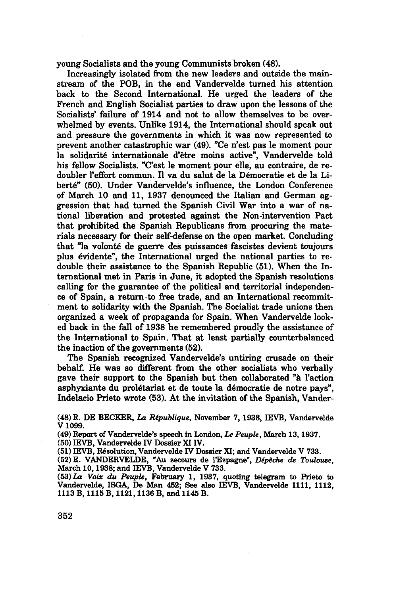young Socialists and the young Communists broken (48).

Increasingly isolated from the new leaders and outside the mainstream **of** the POB, in the end Vandervelde turned his attention back to the Second International. He urged the leaders of the French and English Socialist parties to draw upon the lessons of the Socialists' failure **of** 1914 and not to allow themselves to be overwhelmed by events. Unlike 1914, the International should speak out and pressure the governments in which it was now represented to prevent another catastrophic war (49). "Ce n'est pas le moment pour la solidarité internationale d'être moins active", Vandervelde told his fellow Socialists. "C'est le moment pour elle, au contraire, de redoubler l'effort commun. Il va du salut de la Démocratie et de la Liberté" (50). Under Vandervelde's influence, the London Conference of March 10 and 11, 1937 denounced the Italian and German aggression that had turned the Spanish Civil War into a war of national liberation and protested against the Non-intervention Pact that prohibited the Spanish Republicans from procuring the materials necessary for their self-defense on the open market. Concluding that "la volonté de guerre des puissances fascistes devient toujours plus évidente", the International urged the national parties to redouble their assistance to the Spanish Republic (51). When the International met in Paris in June, it adopted the Spanish resolutions calling for the guarantee of the political and territorial independence of Spain, a return to free trade, and an International recommitment to solidarity with the Spanish. The Socialist trade unions then organized a week of propaganda for Spain. When Vandervelde looked back in the fall of 1938 he remembered proudly the assistance of the International to Spain. That at least partially counterbalanced the inaction of the governments (52).

The Spanish recognized Vandervelde's untiring crusade on their behalf. He was so different from the other socialists who verbally gave their support to the Spanish but then collaborated **"à** l'action asphyxiante du prolétariat et de toute la démocratie de notre pays", Indelacio Prieto wrote (53). At the invitation of the Spanish, Vander-

(48) R. DE BECKER, *La République,* November 7, 1938, IEVB, Vandervelde V1099.

(49) Report of Vandervelde's speech in London, Le *Peuple,* March 13,1937.

(50) IEVB, Vandervelde IV Dossier XIIV.

(51) IEVB, Résolution, Vandervelde IV Dossier XI; and Vandervelde V 733.

(52) E. VANDERVELDE, "Au secours de l'Espagne", *Dépêche de Toulouse,* March 10,1938; and IEVB, Vandervelde V 733.

(53) *La Voix du Peuple,* February 1, 1937, quoting telegram to Prieto to Vandervelde, ISGA, De Man 452; See also IEVB, Vandervelde 1111, 1112, 1113 B, 1115 B, 1121,1136 B, and 1145 B.

352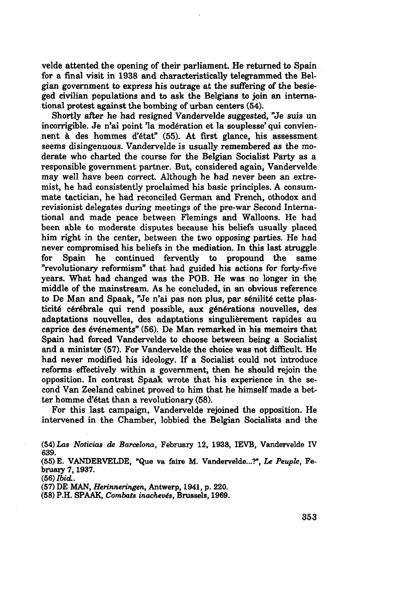velde attented the opening of their parliament. He returned to Spain for a final visit in 1938 and characteristically telegrammed the Belgian government **to** express his outrage at the suffering **of** the besieged civilian populations and to ask the Belgians to join an international protest against the bombing **of** urban centers (54).

Shortly after he had resigned Vandervelde suggested, "Je suis un incorrigible. Je n'ai point 'la modération et la souplesse' qui conviennent **à** des hommes d'état" (55). At first glance, his assessment seems disingenuous. Vandervelde is usually remembered as the moderate who charted the course for the Belgian Socialist Party as a responsible government partner. But, considered again, Vandervelde may well have been correct. Although he had never been an extremist, he had consistently proclaimed his basic principles. A consummate tactician, he had reconciled German and French, othodox and revisionist delegates during meetings of the pre-war Second International and made peace between Flemings and Walloons. He had been able to moderate disputes because his beliefs usually placed him right in the center, between the two opposing parties. He had never compromised his beliefs in the mediation. In this last struggle for Spain he continued fervently to propound the same "revolutionary reformism" that had guided his actions for forty-five years. What had changed was the POB. He was no longer in the middle of the mainstream. As he concluded, in an obvious reference to De Man and Spaak, "Je n'ai pas non plus, par sénilité cette plasticité cérébrale qui rend possible, aux générations nouvelles, des adaptations nouvelles, des adaptations singulièrement rapides au caprice des événements" (56). De Man remarked in his memoirs that Spain had forced Vandervelde to choose between being a Socialist and a minister (57). For Vandervelde the choice was not difficult. He had never modified his ideology. If a Socialist could not introduce reforms effectively within a government, then he should rejoin the opposition. In contrast Spaak wrote that his experience in the second Van Zeeland cabinet proved to him that he himself made a better homme d'état than a revolutionary (58).

For this last campaign, Vandervelde rejoined the opposition. He intervened in the Chamber, lobbied the Belgian Socialists and the

(56) *Ibid..*

(57) DE MAN, *Herinneringen,* Antwerp, 1941, p. 220.

(58) P.H. SPAAK, *Combats inachevés,* Brussels, 1969.

<sup>(54)</sup> *Las Noticias de Barcelona,* February 12, 1938, IEVB, Vandervelde IV 639.

<sup>(55)</sup> E. VANDERVELDE, "Que va faire M. Vandervelde...?", *Le Peuple,* February 7,1937.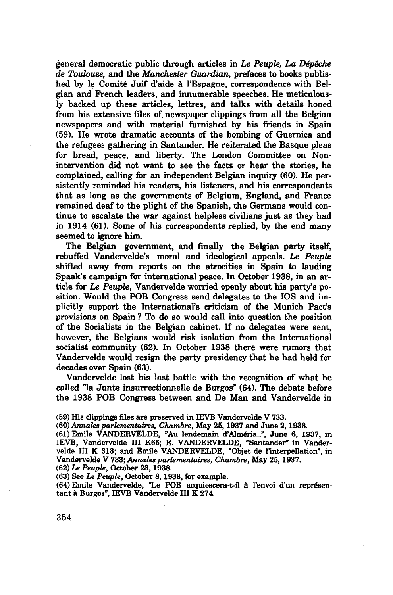general democratic public through articles in *Le Peuple, La Dépêche de Toulouse,* and the *Manchester Guardian,* prefaces to books published by le Comité Juif d'aide à l'Espagne, correspondence with Belgian and French leaders, and innumerable speeches. He meticulously backed up these articles, lettres, and talks with details honed from his extensive files of newspaper clippings from all the Belgian newspapers and with material furnished by his friends in Spain (59). He wrote dramatic accounts of the bombing of Guernica and the refugees gathering in Santander. He reiterated the Basque pleas for bread, peace, and liberty. The London Committee on Nonintervention did not want to see the facts or hear the stories, he complained, calling for an independent Belgian inquiry (60). He persistently reminded his readers, his listeners, and his correspondents that as long as the governments of Belgium, England, and France remained deaf to the plight of the Spanish, the Germans would continue to escalate the war against helpless civilians just as they had in 1914 (61). Some of his correspondents replied, by the end many seemed to ignore him.

The Belgian government, and finally the Belgian party itself, rebuffed Vandervelde's moral and ideological appeals. *Le Peuple* shifted away from reports on the atrocities in Spain to lauding Spaak's campaign for international peace. In October 1938, in an article for *Le Peuple,* Vandervelde worried openly about his party's position. Would the POB Congress send delegates to the IOS and implicitly support the International's criticism of the Munich Pact's provisions on Spain ? To do so would call into question the position of the Socialists in the Belgian cabinet. If no delegates were sent, however, the Belgians would risk isolation from the International socialist community (62). In October 1938 there were rumors that Vandervelde would resign the party presidency that he had held for decades over Spain (63).

Vandervelde lost his last battle with the recognition of what he called "la Junte insurrectionnelle de Burgos" (64). The debate before the 1938 POB Congress between and De Man and Vandervelde in

- (59) His clippings files are preserved in IEVB Vandervelde V 733.
- *(60) Annales parlementaires, Chambre,* May 25,1937 and June 2,1938.

(61) Emile VANDERVELDE, "Au lendemain d'Alméria..", June 6, 1937, in IEVB, Vandervelde III K66; E. VANDERVELDE, "Santander" in Vandervelde III K 313; and Emile VANDERVELDE, "Objet de l'interpellation", in Vandervelde V 733; *Annales parlementaires, Chambre,* May 25,1937. (62) Le Peuple, October 23,1938.

(63) See Le *Peuple,* October 8,1938, for example.

(64) Emile Vandervelde, "Le POB acquiescera-t-il à l'envoi d'un représentant à Burgos", IEVB Vandervelde III K 274.